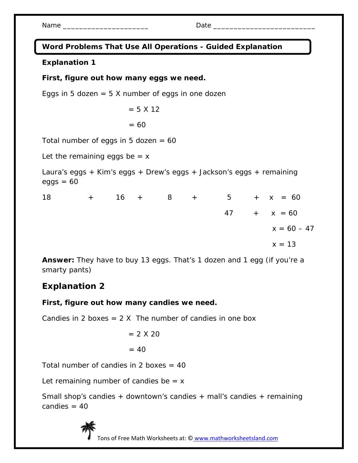#### Name \_\_\_\_\_\_\_\_\_\_\_\_\_\_\_\_\_\_\_\_\_ Date \_\_\_\_\_\_\_\_\_\_\_\_\_\_\_\_\_\_\_\_\_\_\_\_\_

**Word Problems That Use All Operations - Guided Explanation Explanation 1 First, figure out how many eggs we need.**  Eggs in 5 dozen  $= 5$  X number of eggs in one dozen  $= 5 X 12$  $= 60$ Total number of eggs in 5 dozen  $= 60$ Let the remaining eggs be  $= x$ Laura's eggs + Kim's eggs + Drew's eggs + Jackson's eggs + remaining  $eggs = 60$ 18 + 16 + 8 + 5 + x = 60  $47 + x = 60$  $x = 60 - 47$  $x = 13$ 

**Answer:** They have to buy 13 eggs. That's 1 dozen and 1 egg (if you're a smarty pants)

## **Explanation 2**

#### **First, figure out how many candies we need.**

Candies in 2 boxes =  $2 \times$  The number of candies in one box

$$
= 2 \times 20
$$

 $= 40$ 

Total number of candies in 2 boxes  $=$  40

Let remaining number of candies be  $= x$ 

Small shop's candies + downtown's candies + mall's candies + remaining candies  $= 40$ 



Tons of Free Math Worksheets at: © www.mathworksheetsland.com